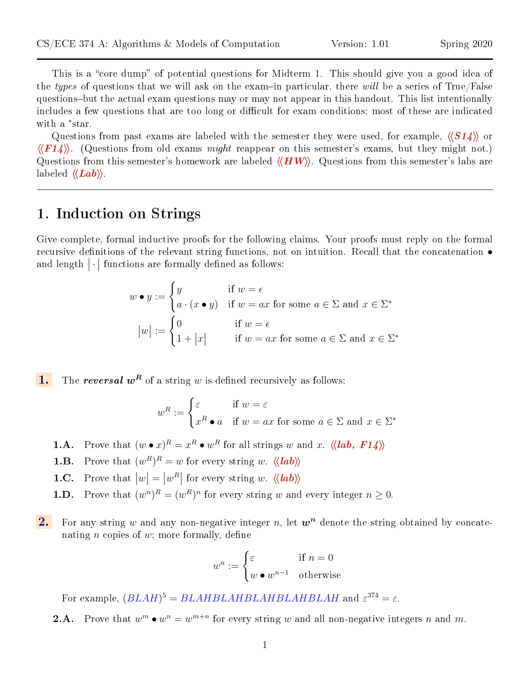This is a "core dump" of potential questions for Midterm 1. This should give you a good idea of the types of questions that we will ask on the exam-in particular, there will be a series of True/False questions-but the actual exam questions may or may not appear in this handout. This list intentionally includes a few questions that are too long or difficult for exam conditions; most of these are indicated with a <sup>\*</sup>star.

Questions from past exams are labeled with the semester they were used, for example,  $\langle \langle S14 \rangle \rangle$  or  $\langle \langle F14 \rangle \rangle$ . (Questions from old exams *might* reappear on this semester's exams, but they might not.) Questions from this semester's homework are labeled  $\langle\langle HW\rangle$ . Questions from this semester's labs are labeled  $\langle \langle Lab \rangle \rangle$ .

# 1. Induction on Strings

Give complete, formal inductive proofs for the following claims. Your proofs must reply on the formal recursive definitions of the relevant string functions, not on intuition. Recall that the concatenation  $\bullet$ and length  $|\cdot|$  functions are formally defined as follows:

$$
w \bullet y := \begin{cases} y & \text{if } w = \epsilon \\ a \cdot (x \bullet y) & \text{if } w = ax \text{ for some } a \in \Sigma \text{ and } x \in \Sigma^* \end{cases}
$$

$$
|w| := \begin{cases} 0 & \text{if } w = \epsilon \\ 1 + |x| & \text{if } w = ax \text{ for some } a \in \Sigma \text{ and } x \in \Sigma^* \end{cases}
$$

**1.** The *reversal*  $w^R$  of a string w is defined recursively as follows:

$$
w^R := \begin{cases} \varepsilon & \text{if } w = \varepsilon \\ x^R \bullet a & \text{if } w = ax \text{ for some } a \in \Sigma \text{ and } x \in \Sigma^* \end{cases}
$$

- **1.A.** Prove that  $(w \bullet x)^R = x^R \bullet w^R$  for all strings w and x.  $\langle \langle lab, F14 \rangle \rangle$
- **1.B.** Prove that  $(w^R)^R = w$  for every string w.  $\langle \langle lab \rangle \rangle$
- **1.C.** Prove that  $|w| = |w^R|$  for every string w.  $\langle \langle \mathit{lab} \rangle \rangle$
- **1.D.** Prove that  $(w^n)^R = (w^R)^n$  for every string w and every integer  $n \geq 0$ .
- 2. For any string w and any non-negative integer n, let  $w<sup>n</sup>$  denote the string obtained by concatenating *n* copies of *w*; more formally, define

$$
w^n := \begin{cases} \varepsilon & \text{if } n = 0\\ w \bullet w^{n-1} & \text{otherwise} \end{cases}
$$

For example,  $(BLAH)^5 = BLAHBLAHBLAHBLAHBLAH$  and  $\varepsilon^{374} = \varepsilon$ .

**2.A.** Prove that  $w^m \bullet w^n = w^{m+n}$  for every string w and all non-negative integers n and m.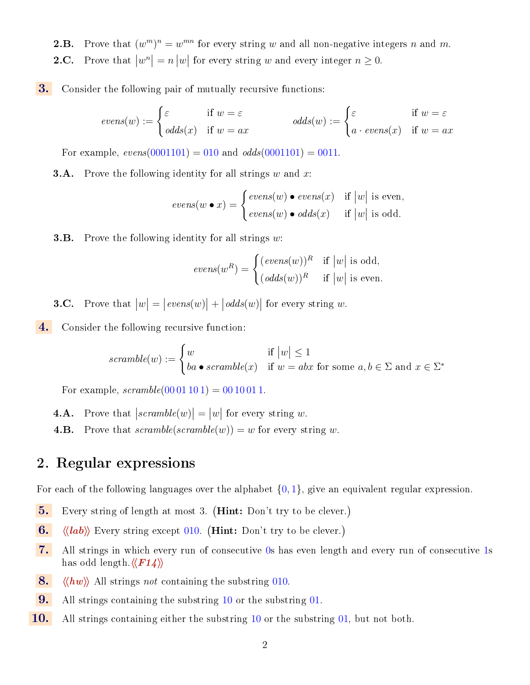- **2.B.** Prove that  $(w^m)^n = w^{mn}$  for every string w and all non-negative integers n and m.
- **2.C.** Prove that  $|w^n| = n |w|$  for every string w and every integer  $n \geq 0$ .
- 3. Consider the following pair of mutually recursive functions:

$$
evens(w) := \begin{cases} \varepsilon & \text{if } w = \varepsilon \\ \text{odds}(x) & \text{if } w = ax \end{cases} \qquad \text{odds}(w) := \begin{cases} \varepsilon & \text{if } w = \varepsilon \\ a \cdot \text{evens}(x) & \text{if } w = ax \end{cases}
$$

For example,  $\text{evens}(0001101) = 010$  and  $\text{odds}(0001101) = 0011$ .

**3.A.** Prove the following identity for all strings  $w$  and  $x$ :

$$
evens(w \bullet x) = \begin{cases} evens(w) \bullet evens(x) & \text{if } |w| \text{ is even,} \\ evens(w) \bullet odds(x) & \text{if } |w| \text{ is odd.} \end{cases}
$$

**3.B.** Prove the following identity for all strings  $w$ :

$$
evens(w^R) = \begin{cases} (evens(w))^R & \text{if } |w| \text{ is odd,} \\ (odds(w))^R & \text{if } |w| \text{ is even.} \end{cases}
$$

- **3.C.** Prove that  $|w| = |\text{evens}(w)| + |\text{odds}(w)|$  for every string w.
- 4. Consider the following recursive function:

$$
scramble(w) := \begin{cases} w & \text{if } |w| \le 1 \\ ba \bullet \text{ }scramble(x) & \text{if } w = abx \text{ for some } a, b \in \Sigma \text{ and } x \in \Sigma^* \end{cases}
$$

For example,  $scramble(0001101) = 0010011$ .

- **4.A.** Prove that  $|scramble(w)| = |w|$  for every string w.
- **4.B.** Prove that  $scramble(scramble(w)) = w$  for every string w.

# 2. Regular expressions

For each of the following languages over the alphabet  $\{0,1\}$ , give an equivalent regular expression.

- 5. Every string of length at most 3. (Hint: Don't try to be clever.)
- 6.  $\langle \langle lab \rangle \rangle$  Every string except 010. (Hint: Don't try to be clever.)
- 7. All strings in which every run of consecutive 0s has even length and every run of consecutive 1s has odd length. $\langle\langle F14\rangle\rangle$
- 8.  $\langle \langle hw \rangle \rangle$  All strings not containing the substring 010.
- 9. All strings containing the substring 10 or the substring 01.
- **10.** All strings containing either the substring 10 or the substring 01, but not both.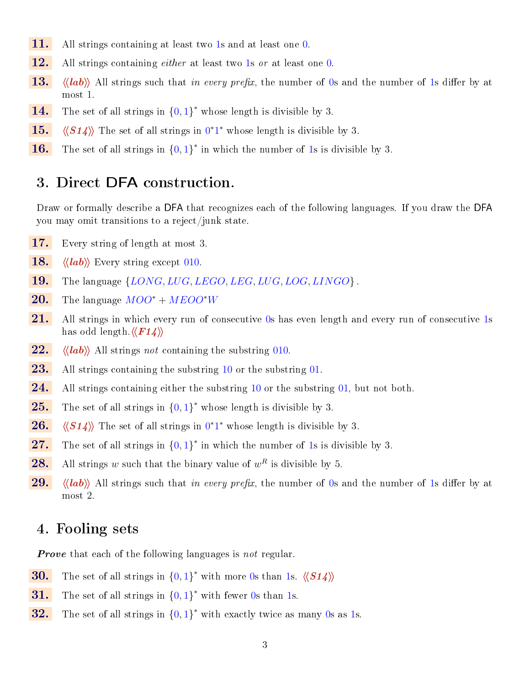- 11. All strings containing at least two 1s and at least one 0.
- 12. All strings containing *either* at least two 1s or at least one 0.
- **13.**  $\langle \langle lab \rangle \rangle$  All strings such that in every prefix, the number of 0s and the number of 1s differ by at most 1.
- **14.** The set of all strings in  $\{0, 1\}^*$  whose length is divisible by 3.
- **15.**  $\langle \langle S14 \rangle \rangle$  The set of all strings in  $0^*1^*$  whose length is divisible by 3.
- **16.** The set of all strings in  $\{0, 1\}^*$  in which the number of 1s is divisible by 3.

## 3. Direct DFA construction.

Draw or formally describe a DFA that recognizes each of the following languages. If you draw the DFA you may omit transitions to a reject/junk state.

- 17. Every string of length at most 3.
- 18.  $\langle \langle lab \rangle \rangle$  Every string except 010.
- **19.** The language  $\{LONG, LUG, LEGO, LEG, LUG, LOG, LINGO\}$ .
- 20. The language  $MOO^* + MEDO^*W$
- 21. All strings in which every run of consecutive 0s has even length and every run of consecutive 1s has odd length. $\langle \langle F14 \rangle \rangle$
- 22.  $\langle \langle lab \rangle \rangle$  All strings not containing the substring 010.
- **23.** All strings containing the substring  $10$  or the substring  $01$ .
- **24.** All strings containing either the substring  $10$  or the substring  $01$ , but not both.
- **25.** The set of all strings in  $\{0,1\}^*$  whose length is divisible by 3.
- **26.**  $\langle \langle S14 \rangle \rangle$  The set of all strings in  $0^*1^*$  whose length is divisible by 3.
- **27.** The set of all strings in  $\{0,1\}^*$  in which the number of 1s is divisible by 3.
- **28.** All strings w such that the binary value of  $w^R$  is divisible by 5.
- 29.  $\langle \langle lab \rangle \rangle$  All strings such that in every prefix, the number of 0s and the number of 1s differ by at most 2.

## 4. Fooling sets

**Prove** that each of the following languages is not regular.

- **30.** The set of all strings in  $\{0,1\}^*$  with more 0s than 1s.  $\langle \langle S14 \rangle \rangle$
- **31.** The set of all strings in  $\{0,1\}^*$  with fewer 0s than 1s.
- **32.** The set of all strings in  $\{0,1\}^*$  with exactly twice as many 0s as 1s.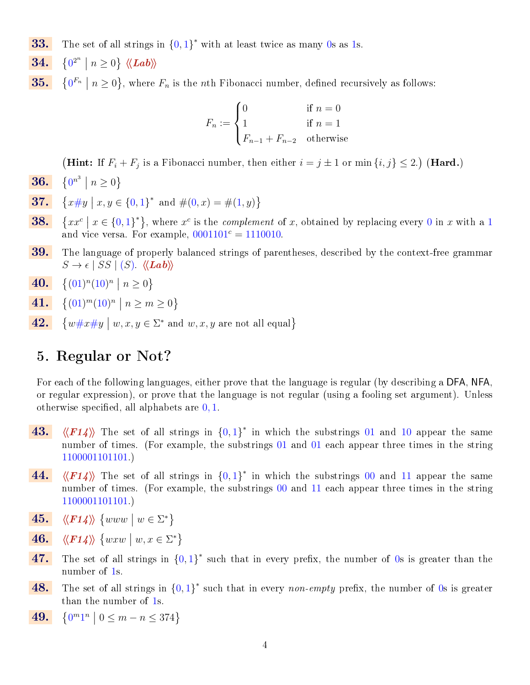- **33.** The set of all strings in  $\{0,1\}^*$  with at least twice as many 0s as 1s.
- 34.  $0^{2^n} | n \geq 0$  }  $\langle \langle \textit{Lab} \rangle \rangle$
- 35.  $0^{F_n} \mid n \geq 0$ , where  $F_n$  is the *n*th Fibonacci number, defined recursively as follows:

$$
F_n := \begin{cases} 0 & \text{if } n = 0\\ 1 & \text{if } n = 1\\ F_{n-1} + F_{n-2} & \text{otherwise} \end{cases}
$$

(Hint: If  $F_i + F_j$  is a Fibonacci number, then either  $i = j \pm 1$  or min  $\{i, j\} \le 2$ .) (Hard.)

- **36.**  $\{0^{n^3} \mid n \ge 0\}$
- **37.**  $\{x \# y \mid x, y \in \{0, 1\}^* \text{ and } \#(0, x) = \#(1, y)\}\$
- 38.  $xx^{c} \mid x \in \{0,1\}^{*}\},$  where  $x^{c}$  is the *complement* of x, obtained by replacing every 0 in x with a 1 and vice versa. For example,  $0001101<sup>c</sup> = 1110010$ .
- **39.** The language of properly balanced strings of parentheses, described by the context-free grammar  $S \to \epsilon \mid SS \mid (S)$ .  $\langle \langle \mathit{Lab} \rangle \rangle$
- 40.  $(01)^n (10)^n \mid n \ge 0$
- 41.  $(01)^m (10)^n \mid n \ge m \ge 0$
- 42.  $w\#x\#y \mid w, x, y \in \Sigma^*$  and  $w, x, y$  are not all equal}

## 5. Regular or Not?

For each of the following languages, either prove that the language is regular (by describing a DFA, NFA, or regular expression), or prove that the language is not regular (using a fooling set argument). Unless otherwise specified, all alphabets are  $0, 1$ .

- 43.  $\langle \langle F14 \rangle \rangle$  The set of all strings in  $\{0, 1\}^*$  in which the substrings 01 and 10 appear the same number of times. (For example, the substrings 01 and 01 each appear three times in the string 1100001101101.)
- 44.  $\langle \langle F14 \rangle \rangle$  The set of all strings in  ${0, 1}^*$  in which the substrings 00 and 11 appear the same number of times. (For example, the substrings 00 and 11 each appear three times in the string 1100001101101.)
- 45.  $\langle \langle F14 \rangle \rangle$  {www |  $w \in \Sigma^*$ }
- 46.  $\langle \langle F14 \rangle \rangle$  {wxw | w, x  $\in \Sigma^*$ }
- 47. The set of all strings in  $\{0,1\}^*$  such that in every prefix, the number of 0s is greater than the number of 1s.
- **48.** The set of all strings in  $\{0,1\}^*$  such that in every non-empty prefix, the number of 0s is greater than the number of 1s.
- 49.  $0^m1^n \mid 0 \le m - n \le 374$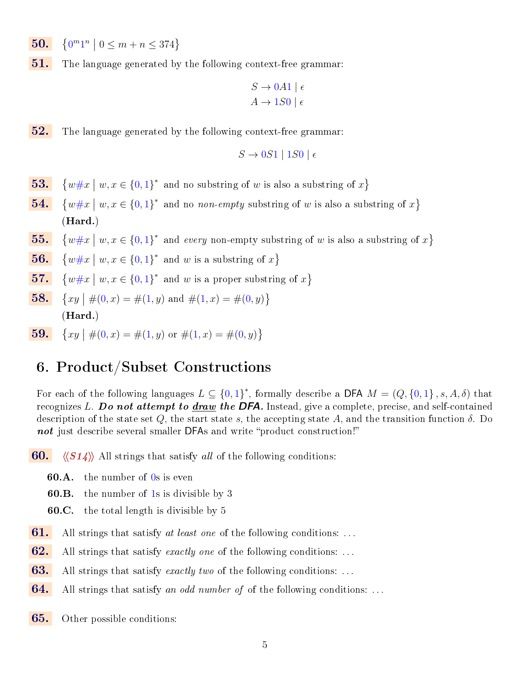- 50.  $0^m1^n \mid 0 \le m + n \le 374$
- $51.$  The language generated by the following context-free grammar:

$$
S \to 0A1 \mid \epsilon
$$
  

$$
A \to 1S0 \mid \epsilon
$$

**52.** The language generated by the following context-free grammar:

$$
S \to 0S1 \mid 1S0 \mid \epsilon
$$

- 53.  $w \# x \mid w, x \in \{0,1\}^*$  and no substring of w is also a substring of  $x$ }
- 54.  $w \# x \mid w, x \in \{0,1\}^*$  and no non-empty substring of w is also a substring of  $x$ } (Hard.)
- 55.  $w \# x \mid w, x \in \{0,1\}^*$  and every non-empty substring of w is also a substring of  $x$ }

**56.** 
$$
\{w \# x \mid w, x \in \{0,1\}^*
$$
 and w is a substring of x\}

- 57.  $w \# x \mid w, x \in \{0,1\}^*$  and w is a proper substring of  $x$ }
- 58.  $xy \mid \#(0, x) = \#(1, y) \text{ and } \#(1, x) = \#(0, y) \}$ (Hard.)
- 59.  $xy \mid \#(0, x) = \#(1, y) \text{ or } \#(1, x) = \#(0, y) \}$

# 6. Product/Subset Constructions

For each of the following languages  $L \subseteq \{0,1\}^*$ , formally describe a DFA  $M = (Q, \{0,1\}, s, A, \delta)$  that recognizes L. Do not attempt to  $\frac{draw}{}$  the DFA. Instead, give a complete, precise, and self-contained description of the state set Q, the start state s, the accepting state A, and the transition function  $\delta$ . Do not just describe several smaller DFAs and write "product construction!"

**60.**  $\langle \langle S14 \rangle \rangle$  All strings that satisfy all of the following conditions:

- 60.A. the number of 0s is even
- 60.B. the number of 1s is divisible by 3
- 60.C. the total length is divisible by 5
- **61.** All strings that satisfy at least one of the following conditions: ...
- **62.** All strings that satisfy exactly one of the following conditions: ...
- **63.** All strings that satisfy exactly two of the following conditions: ...
- **64.** All strings that satisfy an odd number of of the following conditions: ...
- 65. Other possible conditions: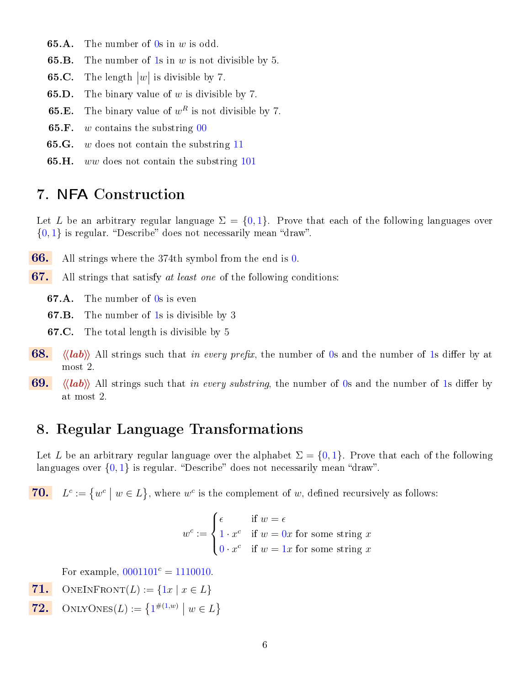- **65.A.** The number of  $\overline{0s}$  in  $w$  is odd.
- **65.B.** The number of 1s in  $w$  is not divisible by 5.
- **65.C.** The length  $|w|$  is divisible by 7.
- **65.D.** The binary value of  $w$  is divisible by 7.
- **65.E.** The binary value of  $w^R$  is not divisible by 7.
- **65.F.** w contains the substring  $\overline{00}$
- **65.G.** w does not contain the substring  $11$
- **65.H.** ww does not contain the substring  $101$

# 7. NFA Construction

Let L be an arbitrary regular language  $\Sigma = \{0,1\}$ . Prove that each of the following languages over  $\{0, 1\}$  is regular. "Describe" does not necessarily mean "draw".

- 66. All strings where the 374th symbol from the end is 0.
- $67.$  All strings that satisfy at least one of the following conditions:

**67.A.** The number of 0s is even

67.B. The number of 1s is divisible by 3

- 67.C. The total length is divisible by 5
- 68.  $\langle \langle lab \rangle \rangle$  All strings such that in every prefix, the number of 0s and the number of 1s differ by at most 2.
- 69.  $\langle \langle \text{lab} \rangle \rangle$  All strings such that in every substring, the number of 0s and the number of 1s differ by at most 2.

## 8. Regular Language Transformations

Let L be an arbitrary regular language over the alphabet  $\Sigma = \{0, 1\}$ . Prove that each of the following languages over  $\{0, 1\}$  is regular. "Describe" does not necessarily mean "draw".

70.  $L^c := \{w^c \mid w \in L\}$ , where  $w^c$  is the complement of w, defined recursively as follows:

$$
w^{c} := \begin{cases} \epsilon & \text{if } w = \epsilon \\ 1 \cdot x^{c} & \text{if } w = 0x \text{ for some string } x \\ 0 \cdot x^{c} & \text{if } w = 1x \text{ for some string } x \end{cases}
$$

For example,  $0001101<sup>c</sup> = 1110010$ .

- 71. ONEINFRONT $(L) := \{1x \mid x \in L\}$
- **72.** ONLYONES(*L*) :=  $\{1^{\#(1,w)} | w \in L\}$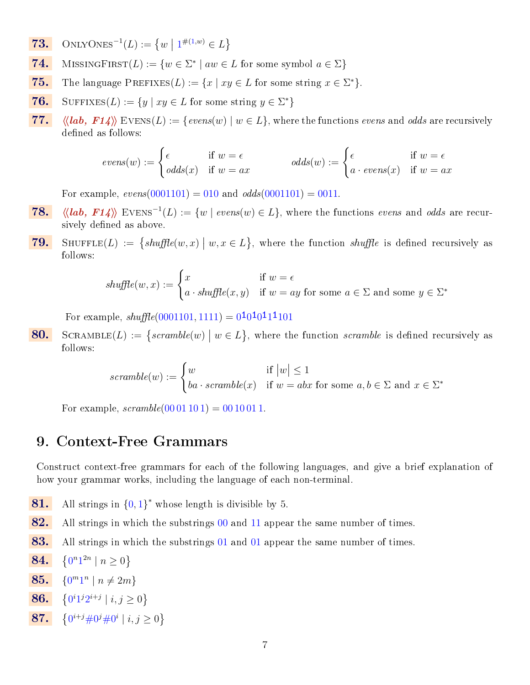- **73.** ONLYONES<sup>-1</sup>(*L*) :=  $\{w \mid 1^{\#(1,w)} \in L\}$
- **74.** MISSINGFIRST $(L) := \{w \in \Sigma^* \mid aw \in L \text{ for some symbol } a \in \Sigma\}$
- **75.** The language PREFIXES(L) :=  $\{x \mid xy \in L \text{ for some string } x \in \Sigma^*\}.$
- **76.** SUFFIXES(L) :=  $\{y \mid xy \in L \text{ for some string } y \in \Sigma^*\}$
- 77.  $\langle \langle \mathit{lab}, \mathit{F14} \rangle \rangle$  EVENS $(L) := \{ \mathit{evens}(w) \mid w \in L \}$ , where the functions evens and odds are recursively defined as follows:

$$
evens(w) := \begin{cases} \epsilon & \text{if } w = \epsilon \\ odds(x) & \text{if } w = ax \end{cases} odds(w) := \begin{cases} \epsilon & \text{if } w = \epsilon \\ a \cdot evens(x) & \text{if } w = ax \end{cases}
$$

For example,  $evens(0001101) = 010$  and  $odds(0001101) = 0011$ .

- 78.  $\langle \langle \mathit{lab}, \mathit{F14} \rangle \rangle$  EVENS<sup>-1</sup>(L) := {w | evens(w)  $\in L$ }, where the functions evens and odds are recursively defined as above.
- **79.** SHUFFLE(L) :=  $\{shuffle(w, x) \mid w, x \in L\}$ , where the function shuffle is defined recursively as follows:

$$
shuffle(w, x) := \begin{cases} x & \text{if } w = \epsilon \\ a \cdot shuffle(x, y) & \text{if } w = ay \text{ for some } a \in \Sigma \text{ and some } y \in \Sigma^* \end{cases}
$$

For example,  $shuffle(0001101, 1111) = 0<sup>1</sup>0<sup>1</sup>0<sup>1</sup>11101$ 

**80.** SCRAMBLE(L) := { $scrmble(w) | w \in L$ }, where the function  $scramble$  is defined recursively as follows:

$$
scramble(w) := \begin{cases} w & \text{if } |w| \le 1 \\ ba \cdot scramble(x) & \text{if } w = abx \text{ for some } a, b \in \Sigma \text{ and } x \in \Sigma^* \end{cases}
$$

For example,  $scramble(0001101) = 0010011$ .

## 9. Context-Free Grammars

Construct context-free grammars for each of the following languages, and give a brief explanation of how your grammar works, including the language of each non-terminal.

- 81. All strings in  ${0,1}^*$  whose length is divisible by 5.
- 82. All strings in which the substrings 00 and 11 appear the same number of times.
- 83. All strings in which the substrings 01 and 01 appear the same number of times.

**84.** 
$$
\{0^n 1^{2n} \mid n \ge 0\}
$$

$$
85. \quad \{0^m 1^n \mid n \neq 2m\}
$$

**86.** 
$$
\{0^i 1^j 2^{i+j} \mid i, j \ge 0\}
$$

**87.**  $\{0^{i+j} \# 0^j \# 0^i \mid i, j \ge 0\}$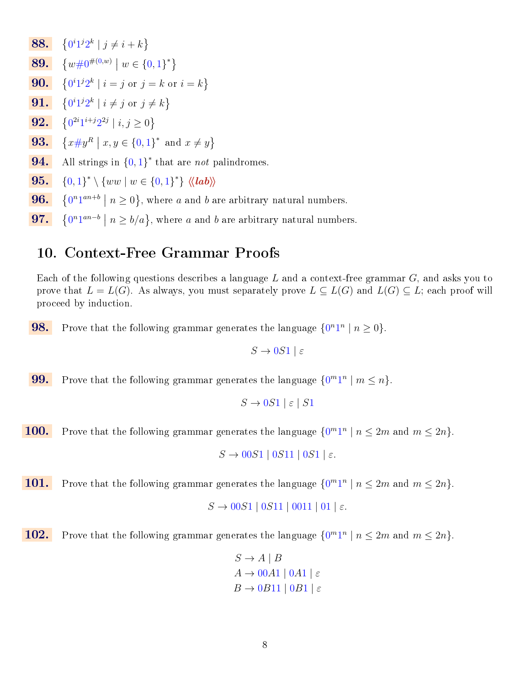- **88.**  $\{0^i1^j2^k \mid j \neq i+k\}$
- 89.  $\{w\#0^{\#(0,w)} | w \in \{0,1\}^*\}$
- **90.**  $\{0^i1^j2^k \mid i = j \text{ or } j = k \text{ or } i = k\}$
- 91.  $0^i1^j2^k \mid i \neq j \text{ or } j \neq k$
- 92.  $0^{2i}1^{i+j}2^{2j} | i, j \geq 0$
- 93.  $x \# y^R \mid x, y \in \{0, 1\}^*$  and  $x \neq y$
- **94.** All strings in  $\{0,1\}^*$  that are *not* palindromes.
- **95.**  $\{0,1\}^* \setminus \{ww \mid w \in \{0,1\}^*\} \langle \langle lab \rangle \rangle$
- 96.  $0^{n}1^{an+b} \mid n \geq 0$ , where a and b are arbitrary natural numbers.
- 97.  $0^{n}1^{an-b} \mid n \geq b/a$ , where a and b are arbitrary natural numbers.

# 10. Context-Free Grammar Proofs

Each of the following questions describes a language L and a context-free grammar  $G$ , and asks you to prove that  $L = L(G)$ . As always, you must separately prove  $L \subseteq L(G)$  and  $L(G) \subseteq L$ ; each proof will proceed by induction.

**98.** Prove that the following grammar generates the language  $\{0^n1^n \mid n \geq 0\}$ .

$$
S \to 0S1 \mid \varepsilon
$$

**99.** Prove that the following grammar generates the language  $\{0^m1^n \mid m \leq n\}$ .

 $S \to 0S1 \mid \varepsilon \mid S1$ 

**100.** Prove that the following grammar generates the language  $\{0^m1^n \mid n \leq 2m \text{ and } m \leq 2n\}.$ 

 $S \rightarrow 00S1 \mid 0S11 \mid 0S1 \mid \varepsilon.$ 

**101.** Prove that the following grammar generates the language  $\{0^m1^n \mid n \leq 2m \text{ and } m \leq 2n\}.$ 

 $S \to 00S1 \mid 0S11 \mid 0011 \mid 01 \mid \varepsilon.$ 

**102.** Prove that the following grammar generates the language  $\{0^m1^n \mid n \leq 2m \text{ and } m \leq 2n\}.$ 

$$
S \to A \mid B
$$
  

$$
A \to 00A1 \mid 0A1 \mid \varepsilon
$$
  

$$
B \to 0B11 \mid 0B1 \mid \varepsilon
$$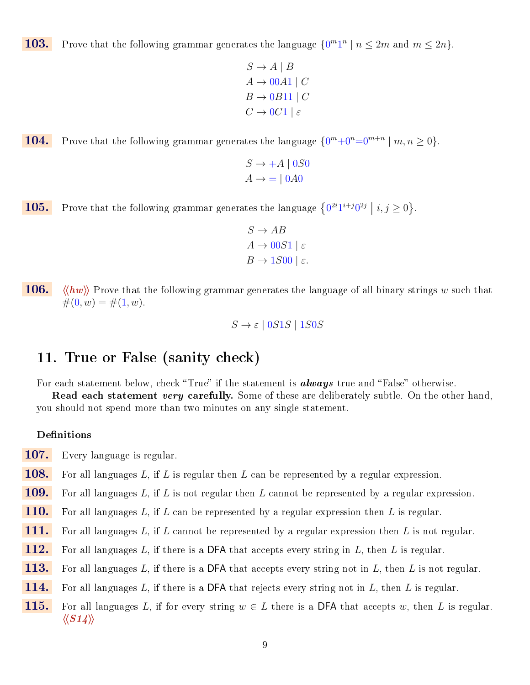**103.** Prove that the following grammar generates the language  $\{0^m1^n \mid n \leq 2m \text{ and } m \leq 2n\}.$ 

```
S \to A \mid BA \rightarrow 00A1 \mid CB \rightarrow 0B11 | C
C \rightarrow 0C1 \mid \varepsilon
```
**104.** Prove that the following grammar generates the language  $\{0^m + 0^n = 0^{m+n} \mid m, n \ge 0\}$ .

 $S \rightarrow +A \mid 0S0$  $A \rightarrow = \vert 0 A 0 \vert$ 

**105.** Prove that the following grammar generates the language  $\{0^{2i}1^{i+j}0^{2j} \mid i, j \ge 0\}$ .

 $S \to AB$  $A \rightarrow 00S1 \mid \varepsilon$  $B \to 1S00$  |  $\varepsilon$ .

**106.**  $\langle \langle hw \rangle \rangle$  Prove that the following grammar generates the language of all binary strings w such that  $#(0, w) = #(1, w).$ 

 $S \rightarrow \varepsilon$  | 0S1S | 1S0S

## 11. True or False (sanity check)

For each statement below, check "True" if the statement is  $always$  true and "False" otherwise.

**Read each statement very carefully.** Some of these are deliberately subtle. On the other hand, you should not spend more than two minutes on any single statement.

### Definitions

- 107. Every language is regular.
- **108.** For all languages L, if L is regular then L can be represented by a regular expression.
- **109.** For all languages L, if L is not regular then L cannot be represented by a regular expression.
- **110.** For all languages L, if L can be represented by a regular expression then L is regular.
- 111. For all languages L, if L cannot be represented by a regular expression then L is not regular.
- 112. For all languages L, if there is a DFA that accepts every string in L, then L is regular.
- **113.** For all languages L, if there is a DFA that accepts every string not in L, then L is not regular.
- **114.** For all languages L, if there is a DFA that rejects every string not in L, then L is regular.
- **115.** For all languages L, if for every string  $w \in L$  there is a DFA that accepts w, then L is regular.  $\langle \langle S14 \rangle \rangle$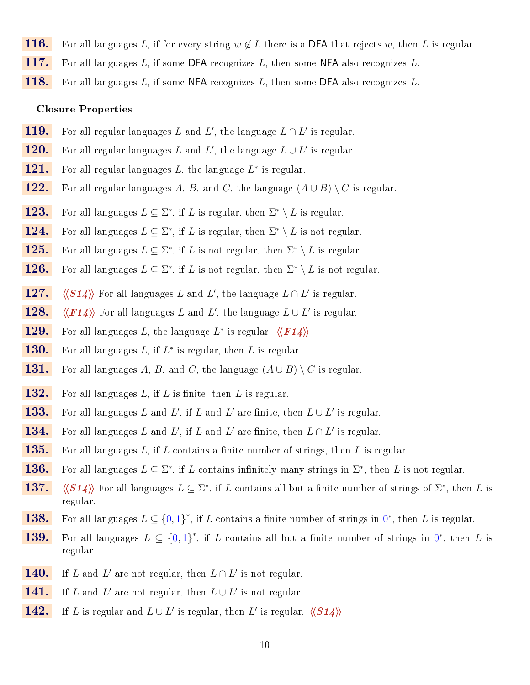- **116.** For all languages L, if for every string  $w \notin L$  there is a DFA that rejects w, then L is regular.
- 117. For all languages L, if some DFA recognizes L, then some NFA also recognizes L.
- **118.** For all languages L, if some NFA recognizes L, then some DFA also recognizes L.

### Closure Properties

- **119.** For all regular languages L and L', the language  $L \cap L'$  is regular.
- **120.** For all regular languages L and L', the language  $L \cup L'$  is regular.
- 121. For all regular languages  $L$ , the language  $L^*$  is regular.
- 122. For all regular languages A, B, and C, the language  $(A \cup B) \setminus C$  is regular.
- **123.** For all languages  $L \subseteq \Sigma^*$ , if L is regular, then  $\Sigma^* \setminus L$  is regular.
- **124.** For all languages  $L \subseteq \Sigma^*$ , if L is regular, then  $\Sigma^* \setminus L$  is not regular.
- **125.** For all languages  $L \subseteq \Sigma^*$ , if L is not regular, then  $\Sigma^* \setminus L$  is regular.
- **126.** For all languages  $L \subseteq \Sigma^*$ , if L is not regular, then  $\Sigma^* \setminus L$  is not regular.
- 127.  $\langle \langle S14 \rangle \rangle$  For all languages L and L', the language  $L \cap L'$  is regular.
- 128.  $\langle \langle F14 \rangle \rangle$  For all languages L and L', the language  $L \cup L'$  is regular.
- 129. For all languages L, the language  $L^*$  is regular.  $\langle \langle F14 \rangle \rangle$
- **130.** For all languages  $L$ , if  $L^*$  is regular, then  $L$  is regular.
- **131.** For all languages A, B, and C, the language  $(A \cup B) \setminus C$  is regular.
- **132.** For all languages  $L$ , if  $L$  is finite, then  $L$  is regular.
- **133.** For all languages L and L', if L and L' are finite, then  $L \cup L'$  is regular.
- **134.** For all languages L and L', if L and L' are finite, then  $L \cap L'$  is regular.
- **135.** For all languages L, if L contains a finite number of strings, then L is regular.
- **136.** For all languages  $L \subseteq \Sigma^*$ , if L contains infinitely many strings in  $\Sigma^*$ , then L is not regular.
- 137.  $\langle \langle S14 \rangle \rangle$  For all languages  $L \subseteq \Sigma^*$ , if L contains all but a finite number of strings of  $\Sigma^*$ , then L is regular.
- **138.** For all languages  $L \subseteq \{0,1\}^*$ , if L contains a finite number of strings in  $0^*$ , then L is regular.
- **139.** For all languages  $L \subseteq \{0,1\}^*$ , if L contains all but a finite number of strings in  $0^*$ , then L is regular.
- **140.** If L and L' are not regular, then  $L \cap L'$  is not regular.
- **141.** If L and L' are not regular, then  $L \cup L'$  is not regular.
- 142. If L is regular and  $L \cup L'$  is regular, then L' is regular.  $\langle \langle S14 \rangle \rangle$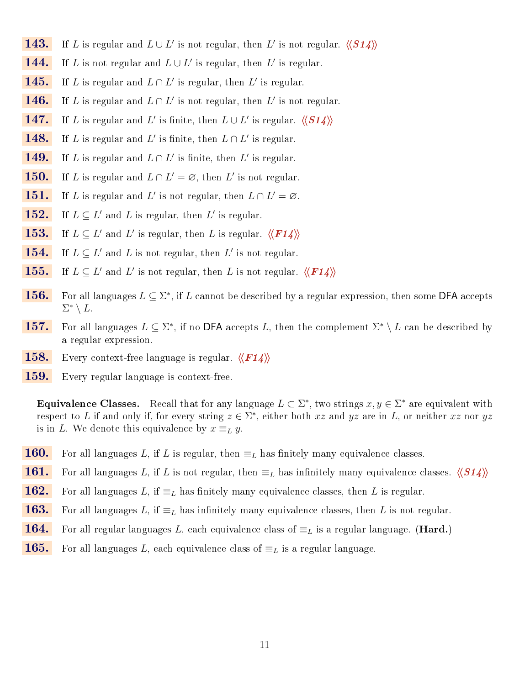- **143.** If L is regular and  $L \cup L'$  is not regular, then L' is not regular.  $\langle \langle S14 \rangle \rangle$
- **144.** If L is not regular and  $L \cup L'$  is regular, then L' is regular.
- **145.** If L is regular and  $L \cap L'$  is regular, then L' is regular.
- **146.** If L is regular and  $L \cap L'$  is not regular, then L' is not regular.
- 147. If L is regular and L' is finite, then  $L \cup L'$  is regular.  $\langle \langle S14 \rangle \rangle$
- **148.** If L is regular and L' is finite, then  $L \cap L'$  is regular.
- **149.** If L is regular and  $L \cap L'$  is finite, then L' is regular.
- **150.** If L is regular and  $L \cap L' = \emptyset$ , then L' is not regular.
- **151.** If L is regular and L' is not regular, then  $L \cap L' = \emptyset$ .
- **152.** If  $L \subseteq L'$  and L is regular, then L' is regular.
- **153.** If  $L \subseteq L'$  and  $L'$  is regular, then L is regular.  $\langle \langle F14 \rangle \rangle$
- **154.** If  $L \subseteq L'$  and L is not regular, then L' is not regular.
- **155.** If  $L \subseteq L'$  and  $L'$  is not regular, then L is not regular.  $\langle \langle F14 \rangle \rangle$
- **156.** For all languages  $L \subseteq \Sigma^*$ , if L cannot be described by a regular expression, then some DFA accepts  $\Sigma^* \setminus L$ .
- **157.** For all languages  $L \subseteq \Sigma^*$ , if no DFA accepts L, then the complement  $\Sigma^* \setminus L$  can be described by a regular expression.
- **158.** Every context-free language is regular.  $\langle \langle F14 \rangle \rangle$
- 159. Every regular language is context-free.

**Equivalence Classes.** Recall that for any language  $L \subset \Sigma^*$ , two strings  $x, y \in \Sigma^*$  are equivalent with respect to L if and only if, for every string  $z \in \Sigma^*$ , either both  $xz$  and  $yz$  are in L, or neither  $xz$  nor  $yz$ is in L. We denote this equivalence by  $x \equiv_L y$ .

- **160.** For all languages L, if L is regular, then  $\equiv_L$  has finitely many equivalence classes.
- 161. For all languages L, if L is not regular, then  $\equiv_L$  has infinitely many equivalence classes.  $\langle\!\langle S14\rangle\!\rangle$
- **162.** For all languages L, if  $\equiv_L$  has finitely many equivalence classes, then L is regular.
- **163.** For all languages L, if  $\equiv_L$  has infinitely many equivalence classes, then L is not regular.
- **164.** For all regular languages L, each equivalence class of  $\equiv_L$  is a regular language. (Hard.)
- **165.** For all languages L, each equivalence class of  $\equiv_L$  is a regular language.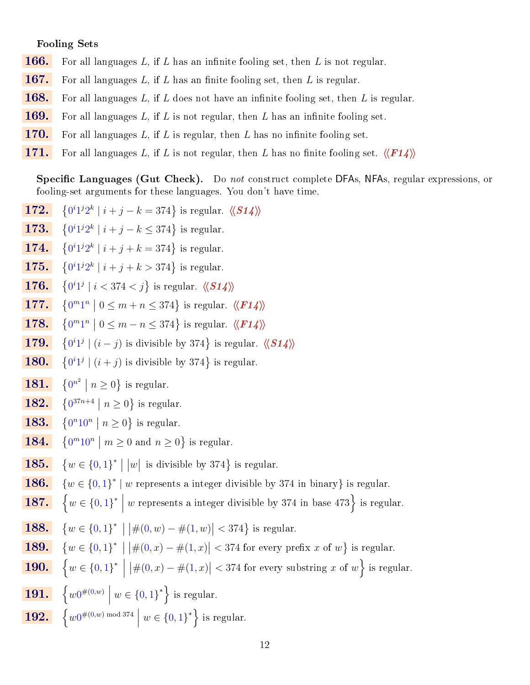### Fooling Sets

- **166.** For all languages L, if L has an infinite fooling set, then L is not regular.
- **167.** For all languages L, if L has an finite fooling set, then L is regular.
- **168.** For all languages L, if L does not have an infinite fooling set, then L is regular.
- **169.** For all languages  $L$ , if  $L$  is not regular, then  $L$  has an infinite fooling set.
- **170.** For all languages L, if L is regular, then L has no infinite fooling set.
- 171. For all languages L, if L is not regular, then L has no finite fooling set.  $\langle\langle F14\rangle\rangle$

**Specific Languages (Gut Check).** Do not construct complete DFAs, NFAs, regular expressions, or fooling-set arguments for these languages. You don't have time.

- 172.  $0^i1^j2^k \mid i+j-k=374$ } is regular.  $\langle \langle S14 \rangle \rangle$
- 173.  $0^i1^j2^k \mid i+j-k \leq 374$ } is regular.
- 174.  $0^i 1^j 2^k \mid i + j + k = 374$  is regular.
- 175.  $0^i1^j2^k \mid i+j+k > 374$ } is regular.
- 176.  $0^i1^j \mid i < 374 < j$ } is regular.  $\langle \langle S14 \rangle \rangle$
- 177.  $0^m1^n \mid 0 \leq m+n \leq 374$ } is regular.  $\langle \langle \mathbf{F14} \rangle \rangle$
- **178.**  $\{0^m1^n \mid 0 \leq m n \leq 374\}$  is regular.  $\langle \langle F14 \rangle \rangle$
- 179.  $0^{i}1^{j}$  |  $(i-j)$  is divisible by 374 } is regular.  $\langle \langle S14 \rangle \rangle$
- 180.  $0^{i}1^{j}$  |  $(i + j)$  is divisible by 374 } is regular.
- **181.**  $\{0^{n^2} \mid n \ge 0\}$  is regular.
- **182.**  $\{0^{37n+4} \mid n \ge 0\}$  is regular.
- 183.  $0^n10^n \mid n \geq 0$ } is regular.
- 184.  $0^m 10^n \mid m \ge 0$  and  $n \ge 0$ } is regular.
- 185.  $w \in \{0,1\}^* \mid |w|$  is divisible by 374 $\}$  is regular.
- **186.**  $\{w \in \{0,1\}^* \mid w \text{ represents a integer divisible by 374 in binary}\}\$ is regular.
- **187.**  $\left\{ w \in \{0, 1\}^* \mid \right\}$ w represents a integer divisible by 374 in base 473 is regular.
- 188.  $w \in \{0,1\}^* \mid |\#(0,w) - \#(1,w)| < 374\}$  is regular.
- 189.  $\{w \in \{0,1\}^* \mid |\#(0,x) \#(1,x)| < 374 \text{ for every prefix } x \text{ of } w\} \text{ is regular.}$
- **190.**  $\left\{ w \in \{0, 1\}^* \middle| \right.$  $\big| \#(0,x) - \#(1,x) \big| < 374$  for every substring x of  $w \Big\}$  is regular.
- $\boxed{191.} \quad \left\{w0^{\#(0,w)}\ \Big\vert$  $w \in \{0,1\}^*$  is regular.
- $\boxed{192.}\quad \left\{w0^{\#(0,w)\bmod 374}\right\}$  $w \in \{0,1\}^*$  is regular.